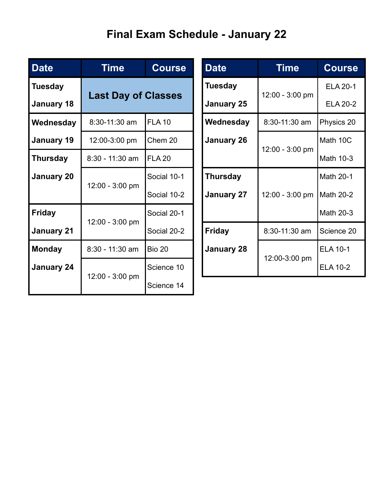## **Final Exam Schedule - January 22**

| <b>Date</b>       | Time                       | <b>Course</b> |  | <b>Date</b>                         | <b>Time</b>     | <b>Course</b>   |
|-------------------|----------------------------|---------------|--|-------------------------------------|-----------------|-----------------|
| <b>Tuesday</b>    | <b>Last Day of Classes</b> |               |  | <b>Tuesday</b><br><b>January 25</b> | 12:00 - 3:00 pm | <b>ELA 20-1</b> |
| <b>January 18</b> |                            |               |  |                                     |                 | <b>ELA 20-2</b> |
| Wednesday         | 8:30-11:30 am              | <b>FLA 10</b> |  | Wednesday                           | 8:30-11:30 am   | Physics 20      |
| January 19        | 12:00-3:00 pm              | Chem 20       |  | <b>January 26</b>                   | 12:00 - 3:00 pm | Math 10C        |
| <b>Thursday</b>   | $8:30 - 11:30$ am          | <b>FLA 20</b> |  |                                     |                 | Math 10-3       |
| <b>January 20</b> | 12:00 - 3:00 pm            | Social 10-1   |  | <b>Thursday</b>                     |                 | Math 20-1       |
|                   |                            | Social 10-2   |  | <b>January 27</b>                   | 12:00 - 3:00 pm | Math 20-2       |
| <b>Friday</b>     | 12:00 - 3:00 pm            | Social 20-1   |  |                                     |                 | Math 20-3       |
| <b>January 21</b> |                            | Social 20-2   |  | <b>Friday</b>                       | 8:30-11:30 am   | Science 20      |
| <b>Monday</b>     | $8:30 - 11:30$ am          | <b>Bio 20</b> |  | <b>January 28</b>                   | 12:00-3:00 pm   | <b>ELA 10-1</b> |
| <b>January 24</b> | 12:00 - 3:00 pm            | Science 10    |  |                                     |                 | <b>ELA 10-2</b> |
|                   |                            | Science 14    |  |                                     |                 |                 |